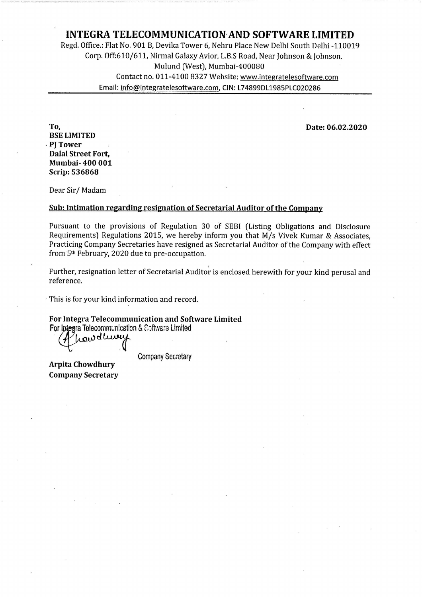## INTEGRA TELECOMMUNICATION-AND SOFTWARE LIMITED

Regd. Office; Flat No. 901 B, Devika Tower 6, Nehru Place New Delhi South Delhi -110019 Corp. Off:610/611, Nirmal Galaxy Avior, L.B.S Road, Near Johnson & Johnson, Mulund (West), Mumbai-400080 Contact no. 011-4100 8327 Website: www.integratelesoftware.com Email: info@integratelesoftware.com, CIN: L74899DL1985PLC020286

To, Date: 06.02.2020

BSE LIMITED PI Tower Dalal Street Fort, Mumbai- 400 001 Scrip: 536868

Dear Sir/ Madam

#### Sub: Intimation regarding resignation of Secretarial Auditor of the Company

Pursuant to the provisions of Regulation 30 of SEBI (Listing Obligations and Disclosure Requirements) Regulations 2015, we hereby inform you that M/s Vivek Kumar & Associates, Practicing Company Secretaries have resigned as Secretarial Auditor of the Company with effect from 5th February, 2020 due to pre-occupation.

Further, resignation letter of Secretarial Auditor is enclosed herewith for your kind perusal and reference.

<sup>~</sup> This is for your kind information and record.

For Integra Telecommunication and Software Limited

For Iptegra Telecommunication & Software Limited

howdluny

Company Secretary

Arpita Chowdhury Company Secretary